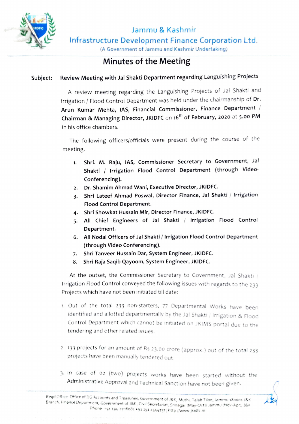

Jammu & Kashmir Infrastructure Development Finance Corporation Ltd.

(A Government of Jammu and Kashmir Undertaking)

## Minutes of the Meeting

## Subject: Review Meeting with Jal Shakti Department regarding Languishing Projects

A review meeting regarding the Languishing Projects of Jal Shakti and Irrigation / Flood Control Department was held under the chairmanship of Dr. Arun Kumar Mehta, IAS, Financial Commissioner, Finance Department Chairman & Managing Director, JKIDFC on 16<sup>th</sup> of February, 2020 at 5.00 PM in his office chambers.

The following officers/officials were present during the course of the meeting.

- Shri. M. Raju, IAS, Commissioner Secretary to Government, Jal Shakti / Irrigation Flood Control Department (through Video-Conferencing). 1.
- 2. Dr. Shamim Ahmad Wani, Executive Director, JKIDFC.
- 3. Shri Lateef Ahmad Poswal, Director Finance, Jal Shakti / Irrigation Flood Control Department.
- 4. Shri Showkat Hussain Mir, Director Finance, JKIDFC.
- 5. All Chief Engineers of Jal Shakti / Irrigation Flood Control Department.
- 6. All Nodal Officers of Jal Shakti/ lrrigation Flood Control Department (through Video Conferencing).
- 7. Shri Tanveer Hussain Dar, System Engineer, JKIDFC.
- 8. Shri Raja Saqib Qayoom, System Engineer, JKIDFC.

At the outset, the Commissioner Secretary to Government, Jal Shakti / Irrigation Flood Control conveyed the following issues with regards to the 233 Projects which have not been initiated till date:

- 1. Out of the total 233 non-starters, 77 Departmental Works have been identified and allotted departmentally by the Jal Shakti / Irrigation & Flood Control Department which cannot be initiated on JKIMS portal due to the tendering and other related issues.
- 2. 133 projects for an amount ot Rs 23.00 crore (approx.) out of the totai 233 projects have been manually tendered out
- 3. in case of 02 (two) projects works have been started without the Administrative Approval and Technical Sanction have not been given.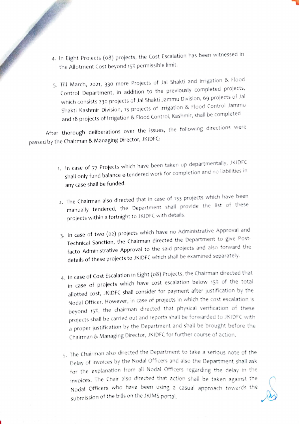- 4. In Eight Projects (08) projects, the Cost Escalation has been witnessed in the Allotment Cost beyond 15% permissible limit.
	- 5. Till March, 2021, 330 more Projects of Jal Shakti and Irrigation & Flood Control Department, in addition to the previously completed projects, which consists 230 projects of Jal Shakti Jammu Division, 69 projects of Jal Shakti Kashmir Division, 13 projects of Irrigation & Flood Control Jammu and 18 projects of Irrigation & Flood Control, Kashmir, shall be completed

After thorough deliberations over the issues, the following directions were passed by the Chairman & Managing Director, JKIDFC:

- 1. In case of 77 Projects which have been taken up departmentally, JKIDFC shall only fund balance e-tendered work for completion and no liabilities in any case shall be funded.
- 2. The Chairman also directed that in case of 133 projects which have been manually tendered, the Department shall provide the list of these projects within a fortnight to JKIDFC with details.
- 3. In case of two (02) projects which have no Administrative Approval and Technical Sanction, the Chairman directed the Department to give Post facto Administrative Approval to the said projects and also forward the details of these projects to JKIDFC which shall be examined separately.
- 4. In case of Cost Escalation in Eight (o8) Projects, the Chairman directed that in case of projects which have cost escalation below 15% of the total allotted cost, JKIDFC shall consider for payment after justification by the Nodal Officer. However, in case of projects in which the cost escalation is beyond 15%, the chairman directed that physical verification of these projects shall be carried out and reports shall be forwarded to JKIDFC with a proper justification by the Department and shall be brought before the Chairman & Managing Director, JKiDFC for further course of action.
- .The Chairman also directed the Department to take a serious note of the Delay of invoices by the Nodal Officers and also the Department shail ask for the explanation from all Nodal Officers regarding the delay in the invoices. The Chair also directed that action shail be taken against the Nodal Oficers who have been using a casual approach towards the submission of the bills on the JKIMS portal.